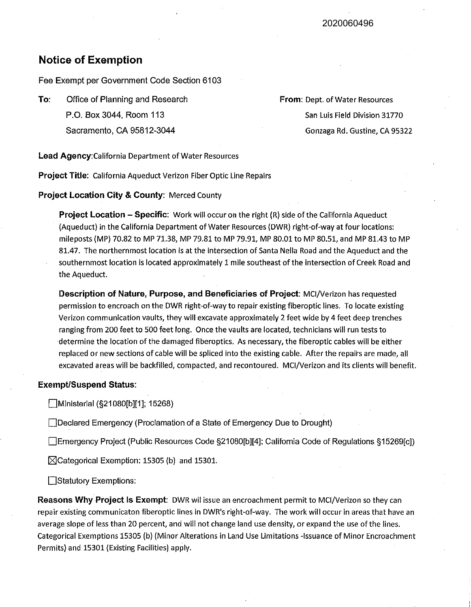## **Notice of Exemption**

Fee Exempt per Government Code Section 6103

**To:** Office of Planning and Research P.O. Box 3044, Room 113 Sacramento, CA 95812-3044

**From:** Dept. of Water Resources San Luis Field Division 31770 Gonzaga Rd. Gustine, CA 95322

**Lead Agency:California** Department of Water Resources

**Project Title:** California Aqueduct Verizon Fiber Optic Line Repairs

**Project Location City & County:** Merced County

**Project Location - Specific:** Work will occur on the right (R) side of the California Aqueduct (Aqueduct) in the California Department of Water Resources (DWR) right-of-way at four locations: mileposts {MP) 70.82 to MP 71.38, MP 79.81 to MP 79.91, MP 80.01 to MP 80.51, and MP 81.43 to MP 81.47. The northernmost location is at the intersection of Santa Nella Road and the Aqueduct and the southernmost location is located approximately 1 mile southeast of the intersection of Creek Road and the Aqueduct.

**Description of Nature, Purpose, and Beneficiaries of Project:** MCI/Verizon has requested permission to encroach on the DWR right-of-way to repair existing fiberoptic lines. To locate existing Verizon communication vaults, they will excavate approximately 2 feet wide by 4 feet deep trenches ranging from 200 feet to 500 feet long. Once the vaults are located, technicians will run tests to determine the location of the damaged fiberoptics. As necessary, the fiberoptic cables will be either replaced or new sections of cable will be spliced into the existing cable. After the repairs are made, all excavated areas will be backfilled, compacted, and recontoured. MCI/Verizon and its clients will benefit.

## **Exempt/Suspend Status:**

Ministerial (§21080[b][1]; 15268)

Declared Emergency (Proclamation of a State of Emergency Due to Drought)

Emergency Project (Public Resources Code §21080[b][4]; California Code of Regulations §15269[c])

 $\boxtimes$ Categorical Exemption: 15305 (b) and 15301.

Statutory Exemptions:

**Reasons Why Project Is Exempt:** DWR wil issue an encroachment permit to MCI/Verizon so they can repair existing communicaton fiberoptic lines in DWR's right-of-way. The work will occur in areas that have an average slope of less than 20 percent, and will not change land use density, or expand the use of the lines. Categorical Exemptions 15305 (b) (Minor Alterations in Land Use Limitations -Issuance of Minor Encroachment Permits) and 15301 (Existing Facilities) apply.